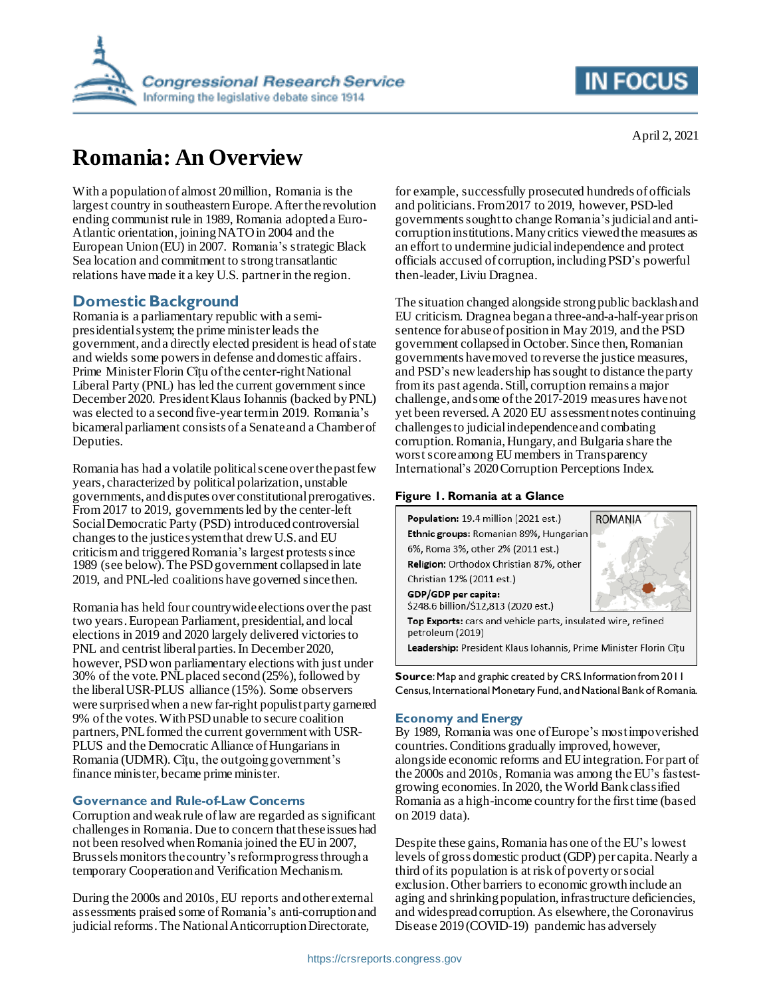

# **Romania: An Overview**

With a population of almost 20 million, Romania is the largest country in southeastern Europe. After the revolution ending communist rule in 1989, Romania adopted a Euro-Atlantic orientation, joiningNATO in 2004 and the European Union (EU) in 2007. Romania's strategic Black Sea location and commitment to strong transatlantic relations have made it a key U.S. partnerin the region.

# **Domestic Background**

Romania is a parliamentary republic with a semipresidential system; the prime minister leads the government, anda directly elected president is head of state and wields some powers in defense and domestic affairs. Prime Minister Florin Cîțu of the center-right National Liberal Party (PNL) has led the current government since December 2020. President Klaus Iohannis (backed by PNL) was elected to a second five-year term in 2019. Romania's bicameral parliament consists of a Senate and a Chamber of Deputies.

Romania has had a volatile political scene overthe past few years, characterized by politicalpolarization, unstable governments, and disputes over constitutional prerogatives. From 2017 to 2019, governments led by the center-left Social Democratic Party (PSD) introduced controversial changes to the justice systemthat drew U.S. and EU criticism and triggered Romania's largest protests since 1989 (see below). The PSD government collapsed in late 2019, and PNL-led coalitions have governed since then.

Romania has held four countrywide elections over the past two years. European Parliament, presidential, and local elections in 2019 and 2020 largely delivered victories to PNL and centrist liberal parties. In December 2020, however, PSD won parliamentary elections with just under 30% of the vote.PNL placed second (25%), followed by the liberal USR-PLUS alliance (15%). Some observers were surprised when a new far-right populist party garnered 9% of the votes.WithPSD unable to secure coalition partners, PNL formed the current government with USR-PLUS and the Democratic Alliance of Hungarians in Romania (UDMR). Cîțu, the outgoing government's finance minister, became prime minister.

# **Governance and Rule-of-Law Concerns**

Corruption and weak rule of law are regarded as significant challengesin Romania. Due to concern that these issues had not been resolvedwhen Romania joined the EU in 2007, Brussels monitors the country's reform progress through a temporary Cooperation and Verification Mechanism.

During the 2000s and 2010s, EU reports and other external assessments praised some of Romania's anti-corruption and judicial reforms.The National Anticorruption Directorate,

for example, successfully prosecuted hundreds of officials and politicians.From 2017 to 2019, however, PSD-led governments sought to change Romania's judicial and anticorruption institutions.Many critics viewed the measures as an effort to undermine judicial independence and protect officials accused of corruption, includingPSD's powerful then-leader,Liviu Dragnea.

The situation changed alongside strong public backlash and EU criticism. Dragnea began a three-and-a-half-year prison sentence for abuse of position in May 2019, and the PSD government collapsed in October. Since then, Romanian governments have moved to reverse the justice measures, and PSD's new leadership has sought to distance the party from its past agenda.Still, corruption remains a major challenge, and some of the 2017-2019 measures have not yet been reversed. A 2020 EU assessment notes continuing challenges to judicial independence and combating corruption. Romania, Hungary, and Bulgaria share the worst score among EU members in Transparency International's 2020 Corruption Perceptions Index.

# **Figure 1. Romania at a Glance**



**Source**: Map and graphic created by CRS. Information from 2011 Census, International Monetary Fund, and National Bank of Romania.

# **Economy and Energy**

By 1989, Romania was one of Europe's most impoverished countries.Conditions gradually improved, however, alongside economic reforms and EUintegration. For part of the 2000s and 2010s, Romania was among the EU's fastestgrowing economies.In 2020, the World Bank classified Romania as a high-income country for the first time (based on 2019 data).

Despite these gains, Romania has one ofthe EU's lowest levels of gross domestic product (GDP) per capita.Nearly a third of its population is at risk of poverty or social exclusion. Other barriers to economic growth include an aging and shrinking population, infrastructure deficiencies, and widespread corruption. As elsewhere, the Coronavirus Disease 2019(COVID-19) pandemic has adversely

**IN FOCUS** 

April 2, 2021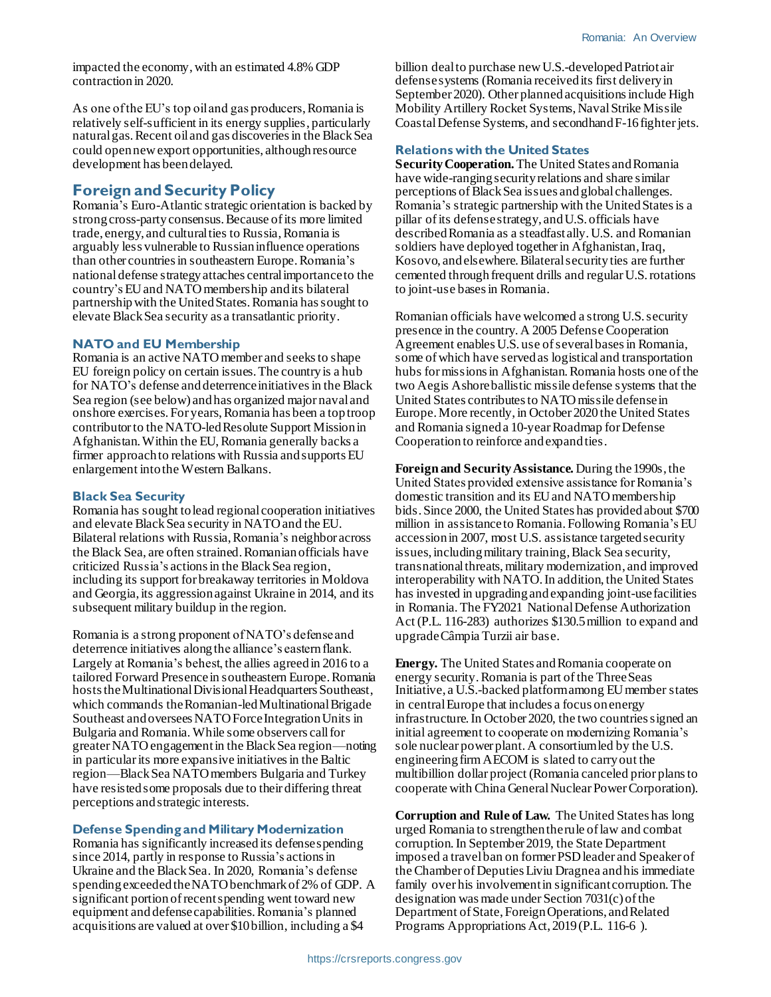impacted the economy, with an estimated 4.8% GDP contraction in 2020.

As one of the EU's top oil and gas producers, Romania is relatively self-sufficient in its energy supplies, particularly natural gas. Recent oil and gas discoveries in the Black Sea could opennew export opportunities, althoughresource development has been delayed.

# **Foreign and Security Policy**

Romania's Euro-Atlantic strategic orientation is backed by strong cross-party consensus. Because of its more limited trade, energy, and cultural ties to Russia, Romania is arguably less vulnerable to Russian influence operations than other countries in southeastern Europe. Romania's nationaldefense strategyattaches central importance to the country's EU and NATOmembership andits bilateral partnershipwith the United States. Romania has sought to elevate Black Sea security as a transatlantic priority.

#### **NATO and EU Membership**

Romania is an active NATO member and seeksto shape EU foreign policy on certain issues. The countryis a hub for NATO's defense and deterrence initiatives in the Black Sea region (see below) and has organized major naval and onshore exercises. For years, Romania has been a top troop contributorto the NATO-led Resolute Support Mission in Afghanistan.Within the EU, Romania generally backs a firmer approach to relations with Russia and supports EU enlargement into the Western Balkans.

#### **Black Sea Security**

Romania has sought to lead regional cooperation initiatives and elevate Black Sea security in NATO and the EU. Bilateral relations with Russia, Romania's neighbor across the Black Sea, are often strained. Romanian officials have criticized Russia's actions in the Black Sea region, including its support for breakaway territories in Moldova and Georgia, its aggression against Ukraine in 2014, and its subsequent military buildup in the region.

Romania is a strong proponent of NATO's defense and deterrence initiatives alongthe alliance's eastern flank. Largely at Romania's behest, the allies agreed in 2016 to a tailored Forward Presencein southeastern Europe. Romania hosts theMultinational Divisional Headquarters Southeast, which commands the Romanian-led Multinational Brigade Southeast and oversees NATO Force Integration Units in Bulgaria and Romania. While some observers call for greater NATO engagementin the Black Sea region—noting in particular its more expansive initiatives in the Baltic region—Black Sea NATO members Bulgaria and Turkey have resisted some proposals due to their differing threat perceptions and strategic interests.

#### **Defense Spending and Military Modernization**

Romania has significantly increased its defense spending since 2014, partly in response to Russia's actions in Ukraine and the Black Sea. In 2020, Romania's defense spending exceededthe NATO benchmarkof 2% of GDP. A significant portion of recent spending went toward new equipment and defense capabilities. Romania's planned acquisitions are valued at over \$10billion, including a \$4

billion deal to purchase newU.S.-developedPatriot air defense systems (Romania received its first delivery in September 2020). Other planned acquisitions include High Mobility Artillery Rocket Systems, Naval Strike Missile Coastal Defense Systems, and secondhand F-16 fighter jets.

#### **Relations with the United States**

**Security Cooperation.** The United States and Romania have wide-ranging security relations and share similar perceptions of Black Sea issues and global challenges. Romania's strategic partnership with the United States is a pillar of its defense strategy, andU.S. officials have described Romania as a steadfast ally. U.S. and Romanian soldiers have deployed together in Afghanistan, Iraq, Kosovo, and elsewhere.Bilateral security ties are further cemented through frequent drills and regular U.S. rotations to joint-use bases in Romania.

Romanian officials have welcomed a strong U.S. security presence in the country. A 2005 Defense Cooperation Agreement enables U.S. use of several bases in Romania, some of which have served as logistical and transportation hubs for missions in Afghanistan.Romania hosts one of the two Aegis Ashore ballistic missile defense systems that the United States contributes to NATO missile defense in Europe. More recently, in October 2020 the United States and Romania signed a 10-year Roadmap for Defense Cooperation to reinforce and expand ties.

**Foreign and Security Assistance.** During the 1990s, the United States provided extensive assistance for Romania's domestic transition and its EU and NATO membership bids. Since 2000, the United States has provided about \$700 million in assistance to Romania. Following Romania's EU accession in 2007, most U.S. assistance targeted security issues, including military training, Black Sea security, transnational threats, military modernization, and improved interoperability with NATO.In addition, the United States has invested in upgrading and expanding joint-use facilities in Romania.The FY2021 National Defense Authorization Act (P.L. 116-283) authorizes \$130.5 million to expand and upgrade Câmpia Turzii air base.

**Energy.** The United States and Romania cooperate on energy security. Romania is part of the Three Seas Initiative, a U.S.-backed platform among EU member states in central Europe that includes a focus on energy infrastructure.In October 2020, the two countries signed an initial agreement to cooperate on modernizing Romania's sole nuclear power plant. A consortium led by the U.S. engineering firm AECOM is slated to carry out the multibillion dollar project (Romania canceled prior plans to cooperate with China General Nuclear Power Corporation).

**Corruption and Rule of Law.** The United States has long urged Romania to strengthen the rule of law and combat corruption.In September 2019, the State Department imposed a travelban on former PSD leader and Speaker of the Chamber of Deputies Liviu Dragnea and his immediate family over his involvement in significant corruption. The designation was made under Section 7031(c) of the Department of State, Foreign Operations, and Related Programs Appropriations Act, 2019 (P.L. 116-6 ).